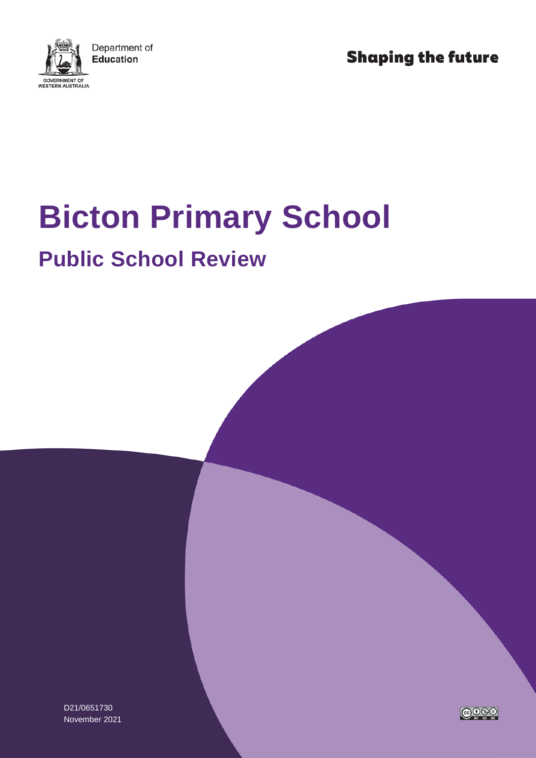

**Shaping the future** 

# **Bicton Primary School**

## **Public School Review**

D21/0651730 November 2021

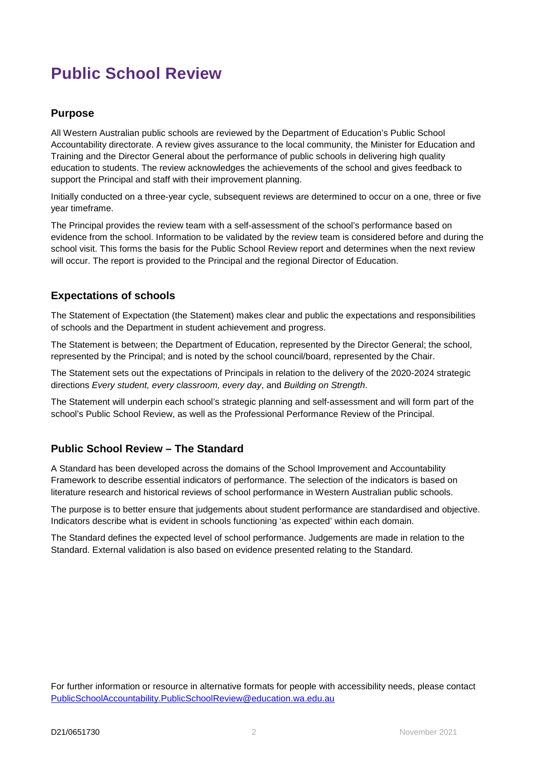### **Public School Review**

#### **Purpose**

All Western Australian public schools are reviewed by the Department of Education's Public School Accountability directorate. A review gives assurance to the local community, the Minister for Education and Training and the Director General about the performance of public schools in delivering high quality education to students. The review acknowledges the achievements of the school and gives feedback to support the Principal and staff with their improvement planning.

Initially conducted on a three-year cycle, subsequent reviews are determined to occur on a one, three or five year timeframe.

The Principal provides the review team with a self-assessment of the school's performance based on evidence from the school. Information to be validated by the review team is considered before and during the school visit. This forms the basis for the Public School Review report and determines when the next review will occur. The report is provided to the Principal and the regional Director of Education.

#### **Expectations of schools**

The Statement of Expectation (the Statement) makes clear and public the expectations and responsibilities of schools and the Department in student achievement and progress.

The Statement is between; the Department of Education, represented by the Director General; the school, represented by the Principal; and is noted by the school council/board, represented by the Chair.

The Statement sets out the expectations of Principals in relation to the delivery of the 2020-2024 strategic directions *Every student, every classroom, every day*, and *Building on Strength*.

The Statement will underpin each school's strategic planning and self-assessment and will form part of the school's Public School Review, as well as the Professional Performance Review of the Principal.

#### **Public School Review – The Standard**

A Standard has been developed across the domains of the School Improvement and Accountability Framework to describe essential indicators of performance. The selection of the indicators is based on literature research and historical reviews of school performance in Western Australian public schools.

The purpose is to better ensure that judgements about student performance are standardised and objective. Indicators describe what is evident in schools functioning 'as expected' within each domain.

The Standard defines the expected level of school performance. Judgements are made in relation to the Standard. External validation is also based on evidence presented relating to the Standard.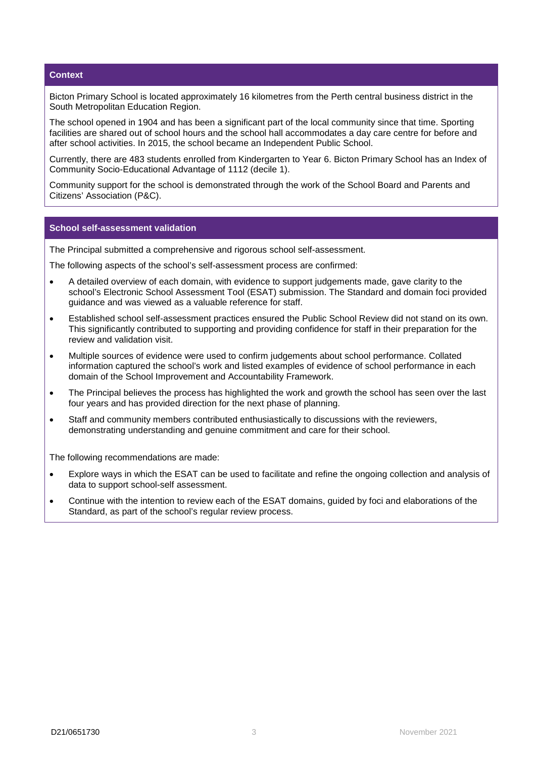#### **Context**

Bicton Primary School is located approximately 16 kilometres from the Perth central business district in the South Metropolitan Education Region.

The school opened in 1904 and has been a significant part of the local community since that time. Sporting facilities are shared out of school hours and the school hall accommodates a day care centre for before and after school activities. In 2015, the school became an Independent Public School.

Currently, there are 483 students enrolled from Kindergarten to Year 6. Bicton Primary School has an Index of Community Socio-Educational Advantage of 1112 (decile 1).

Community support for the school is demonstrated through the work of the School Board and Parents and Citizens' Association (P&C).

#### **School self-assessment validation**

The Principal submitted a comprehensive and rigorous school self-assessment.

The following aspects of the school's self-assessment process are confirmed:

- A detailed overview of each domain, with evidence to support judgements made, gave clarity to the school's Electronic School Assessment Tool (ESAT) submission. The Standard and domain foci provided guidance and was viewed as a valuable reference for staff.
- Established school self-assessment practices ensured the Public School Review did not stand on its own. This significantly contributed to supporting and providing confidence for staff in their preparation for the review and validation visit.
- Multiple sources of evidence were used to confirm judgements about school performance. Collated information captured the school's work and listed examples of evidence of school performance in each domain of the School Improvement and Accountability Framework.
- The Principal believes the process has highlighted the work and growth the school has seen over the last four years and has provided direction for the next phase of planning.
- Staff and community members contributed enthusiastically to discussions with the reviewers, demonstrating understanding and genuine commitment and care for their school.

The following recommendations are made:

- Explore ways in which the ESAT can be used to facilitate and refine the ongoing collection and analysis of data to support school-self assessment.
- Continue with the intention to review each of the ESAT domains, guided by foci and elaborations of the Standard, as part of the school's regular review process.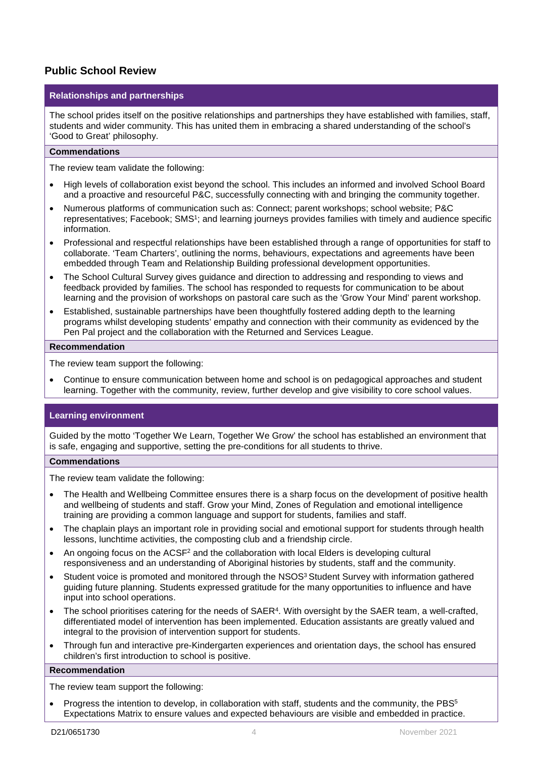#### **Public School Review**

#### **Relationships and partnerships**

The school prides itself on the positive relationships and partnerships they have established with families, staff, students and wider community. This has united them in embracing a shared understanding of the school's 'Good to Great' philosophy.

#### **Commendations**

The review team validate the following:

- High levels of collaboration exist beyond the school. This includes an informed and involved School Board and a proactive and resourceful P&C, successfully connecting with and bringing the community together.
- Numerous platforms of communication such as: Connect; parent workshops; school website; P&C representatives; Facebook; SMS<sup>1</sup>; and learning journeys provides families with timely and audience specific information.
- Professional and respectful relationships have been established through a range of opportunities for staff to collaborate. 'Team Charters', outlining the norms, behaviours, expectations and agreements have been embedded through Team and Relationship Building professional development opportunities.
- The School Cultural Survey gives guidance and direction to addressing and responding to views and feedback provided by families. The school has responded to requests for communication to be about learning and the provision of workshops on pastoral care such as the 'Grow Your Mind' parent workshop.
- Established, sustainable partnerships have been thoughtfully fostered adding depth to the learning programs whilst developing students' empathy and connection with their community as evidenced by the Pen Pal project and the collaboration with the Returned and Services League.

#### **Recommendation**

The review team support the following:

• Continue to ensure communication between home and school is on pedagogical approaches and student learning. Together with the community, review, further develop and give visibility to core school values.

#### **Learning environment**

Guided by the motto 'Together We Learn, Together We Grow' the school has established an environment that is safe, engaging and supportive, setting the pre-conditions for all students to thrive.

#### **Commendations**

The review team validate the following:

- The Health and Wellbeing Committee ensures there is a sharp focus on the development of positive health and wellbeing of students and staff. Grow your Mind, Zones of Regulation and emotional intelligence training are providing a common language and support for students, families and staff.
- The chaplain plays an important role in providing social and emotional support for students through health lessons, lunchtime activities, the composting club and a friendship circle.
- An ongoing focus on the ACSF<sup>2</sup> and the collaboration with local Elders is developing cultural responsiveness and an understanding of Aboriginal histories by students, staff and the community.
- Student voice is promoted and monitored through the NSOS<sup>3</sup> Student Survey with information gathered guiding future planning. Students expressed gratitude for the many opportunities to influence and have input into school operations.
- The school prioritises catering for the needs of SAER<sup>4</sup>. With oversight by the SAER team, a well-crafted, differentiated model of intervention has been implemented. Education assistants are greatly valued and integral to the provision of intervention support for students.
- Through fun and interactive pre-Kindergarten experiences and orientation days, the school has ensured children's first introduction to school is positive.

#### **Recommendation**

The review team support the following:

Progress the intention to develop, in collaboration with staff, students and the community, the PBS<sup>5</sup> Expectations Matrix to ensure values and expected behaviours are visible and embedded in practice.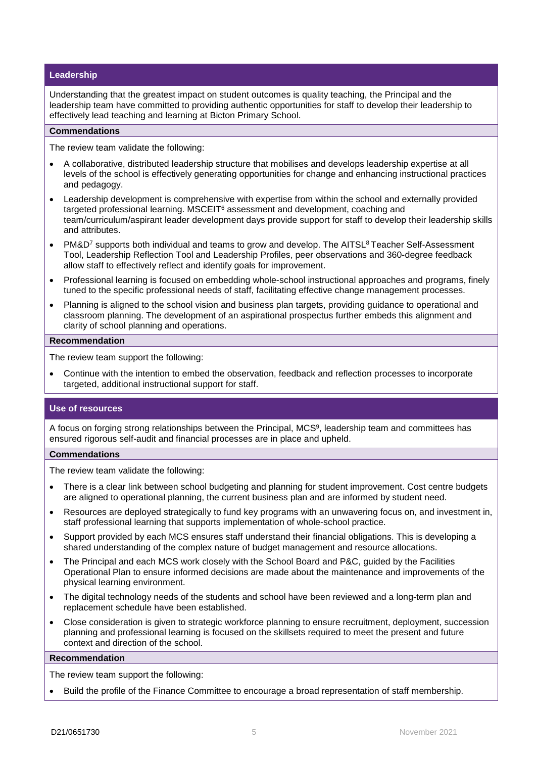#### **Leadership**

Understanding that the greatest impact on student outcomes is quality teaching, the Principal and the leadership team have committed to providing authentic opportunities for staff to develop their leadership to effectively lead teaching and learning at Bicton Primary School.

#### **Commendations**

The review team validate the following:

- A collaborative, distributed leadership structure that mobilises and develops leadership expertise at all levels of the school is effectively generating opportunities for change and enhancing instructional practices and pedagogy.
- Leadership development is comprehensive with expertise from within the school and externally provided targeted professional learning. MSCEIT<sup>6</sup> assessment and development, coaching and team/curriculum/aspirant leader development days provide support for staff to develop their leadership skills and attributes.
- PM&D<sup>7</sup> supports both individual and teams to grow and develop. The AITSL<sup>8</sup> Teacher Self-Assessment Tool, Leadership Reflection Tool and Leadership Profiles, peer observations and 360-degree feedback allow staff to effectively reflect and identify goals for improvement.
- Professional learning is focused on embedding whole-school instructional approaches and programs, finely tuned to the specific professional needs of staff, facilitating effective change management processes.
- Planning is aligned to the school vision and business plan targets, providing guidance to operational and classroom planning. The development of an aspirational prospectus further embeds this alignment and clarity of school planning and operations.

#### **Recommendation**

The review team support the following:

• Continue with the intention to embed the observation, feedback and reflection processes to incorporate targeted, additional instructional support for staff.

#### **Use of resources**

A focus on forging strong relationships between the Principal, MCS<sup>9</sup>, leadership team and committees has ensured rigorous self-audit and financial processes are in place and upheld.

#### **Commendations**

The review team validate the following:

- There is a clear link between school budgeting and planning for student improvement. Cost centre budgets are aligned to operational planning, the current business plan and are informed by student need.
- Resources are deployed strategically to fund key programs with an unwavering focus on, and investment in, staff professional learning that supports implementation of whole-school practice.
- Support provided by each MCS ensures staff understand their financial obligations. This is developing a shared understanding of the complex nature of budget management and resource allocations.
- The Principal and each MCS work closely with the School Board and P&C, guided by the Facilities Operational Plan to ensure informed decisions are made about the maintenance and improvements of the physical learning environment.
- The digital technology needs of the students and school have been reviewed and a long-term plan and replacement schedule have been established.
- Close consideration is given to strategic workforce planning to ensure recruitment, deployment, succession planning and professional learning is focused on the skillsets required to meet the present and future context and direction of the school.

#### **Recommendation**

The review team support the following:

• Build the profile of the Finance Committee to encourage a broad representation of staff membership.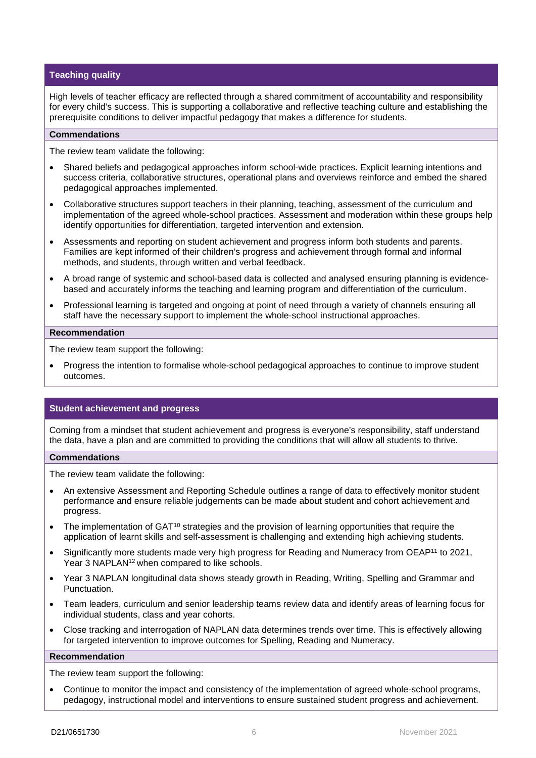#### **Teaching quality**

High levels of teacher efficacy are reflected through a shared commitment of accountability and responsibility for every child's success. This is supporting a collaborative and reflective teaching culture and establishing the prerequisite conditions to deliver impactful pedagogy that makes a difference for students.

#### **Commendations**

The review team validate the following:

- Shared beliefs and pedagogical approaches inform school-wide practices. Explicit learning intentions and success criteria, collaborative structures, operational plans and overviews reinforce and embed the shared pedagogical approaches implemented.
- Collaborative structures support teachers in their planning, teaching, assessment of the curriculum and implementation of the agreed whole-school practices. Assessment and moderation within these groups help identify opportunities for differentiation, targeted intervention and extension.
- Assessments and reporting on student achievement and progress inform both students and parents. Families are kept informed of their children's progress and achievement through formal and informal methods, and students, through written and verbal feedback.
- A broad range of systemic and school-based data is collected and analysed ensuring planning is evidencebased and accurately informs the teaching and learning program and differentiation of the curriculum.
- Professional learning is targeted and ongoing at point of need through a variety of channels ensuring all staff have the necessary support to implement the whole-school instructional approaches.

#### **Recommendation**

The review team support the following:

• Progress the intention to formalise whole-school pedagogical approaches to continue to improve student outcomes.

#### **Student achievement and progress**

Coming from a mindset that student achievement and progress is everyone's responsibility, staff understand the data, have a plan and are committed to providing the conditions that will allow all students to thrive.

#### **Commendations**

The review team validate the following:

- An extensive Assessment and Reporting Schedule outlines a range of data to effectively monitor student performance and ensure reliable judgements can be made about student and cohort achievement and progress.
- The implementation of GAT<sup>10</sup> strategies and the provision of learning opportunities that require the application of learnt skills and self-assessment is challenging and extending high achieving students.
- Significantly more students made very high progress for Reading and Numeracy from OEAP<sup>11</sup> to 2021, Year 3 NAPLAN<sup>12</sup> when compared to like schools.
- Year 3 NAPLAN longitudinal data shows steady growth in Reading, Writing, Spelling and Grammar and Punctuation.
- Team leaders, curriculum and senior leadership teams review data and identify areas of learning focus for individual students, class and year cohorts.
- Close tracking and interrogation of NAPLAN data determines trends over time. This is effectively allowing for targeted intervention to improve outcomes for Spelling, Reading and Numeracy.

#### **Recommendation**

The review team support the following:

• Continue to monitor the impact and consistency of the implementation of agreed whole-school programs, pedagogy, instructional model and interventions to ensure sustained student progress and achievement.